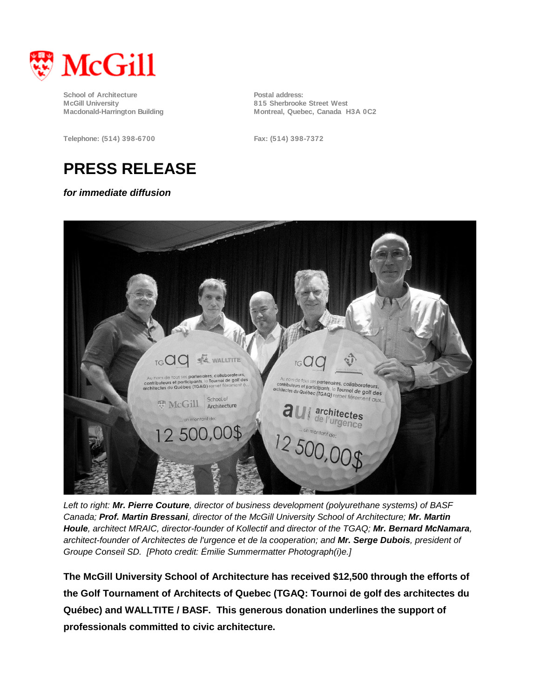

**School of Architecture Postal address:**<br> **Postal address:**<br> **Postal address:**<br> **Postal address: McGill University 815 Sherbrooke Street West**

**Telephone: (514) 398-6700 Fax: (514) 398-7372**

Montreal, Quebec, Canada H3A 0C2

## **PRESS RELEASE**

*for immediate diffusion*



*Left to right: Mr. Pierre Couture, director of business development (polyurethane systems) of BASF Canada; Prof. Martin Bressani, director of the McGill University School of Architecture; Mr. Martin Houle, architect MRAIC, director-founder of Kollectif and director of the TGAQ; Mr. Bernard McNamara, architect-founder of Architectes de l'urgence et de la cooperation; and Mr. Serge Dubois, president of Groupe Conseil SD. [Photo credit: Émilie Summermatter Photograph(i)e.]*

**The McGill University School of Architecture has received \$12,500 through the efforts of the Golf Tournament of Architects of Quebec (TGAQ: Tournoi de golf des architectes du Québec) and WALLTITE / BASF. This generous donation underlines the support of professionals committed to civic architecture.**